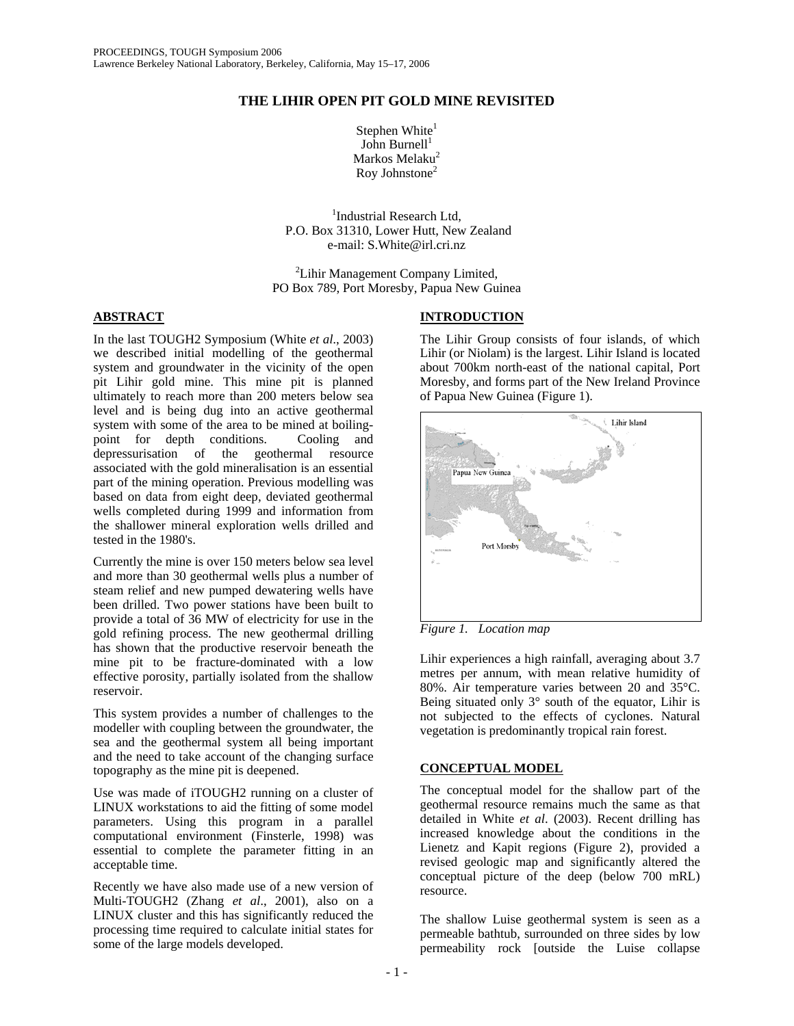# **THE LIHIR OPEN PIT GOLD MINE REVISITED**

Stephen White $<sup>1</sup>$ </sup> John Burnell $1$ Markos Melaku<sup>2</sup> Roy Johnstone2

<sup>1</sup>Industrial Research Ltd, P.O. Box 31310, Lower Hutt, New Zealand e-mail: S.White@irl.cri.nz

<sup>2</sup>Lihir Management Company Limited, PO Box 789, Port Moresby, Papua New Guinea

## **ABSTRACT**

In the last TOUGH2 Symposium (White *et al*., 2003) we described initial modelling of the geothermal system and groundwater in the vicinity of the open pit Lihir gold mine. This mine pit is planned ultimately to reach more than 200 meters below sea level and is being dug into an active geothermal system with some of the area to be mined at boilingpoint for depth conditions. Cooling and depressurisation of the geothermal resource associated with the gold mineralisation is an essential part of the mining operation. Previous modelling was based on data from eight deep, deviated geothermal wells completed during 1999 and information from the shallower mineral exploration wells drilled and tested in the 1980's.

Currently the mine is over 150 meters below sea level and more than 30 geothermal wells plus a number of steam relief and new pumped dewatering wells have been drilled. Two power stations have been built to provide a total of 36 MW of electricity for use in the gold refining process. The new geothermal drilling has shown that the productive reservoir beneath the mine pit to be fracture-dominated with a low effective porosity, partially isolated from the shallow reservoir.

This system provides a number of challenges to the modeller with coupling between the groundwater, the sea and the geothermal system all being important and the need to take account of the changing surface topography as the mine pit is deepened.

Use was made of iTOUGH2 running on a cluster of LINUX workstations to aid the fitting of some model parameters. Using this program in a parallel computational environment (Finsterle, 1998) was essential to complete the parameter fitting in an acceptable time.

Recently we have also made use of a new version of Multi-TOUGH2 (Zhang *et al*., 2001), also on a LINUX cluster and this has significantly reduced the processing time required to calculate initial states for some of the large models developed.

# **INTRODUCTION**

The Lihir Group consists of four islands, of which Lihir (or Niolam) is the largest. Lihir Island is located about 700km north-east of the national capital, Port Moresby, and forms part of the New Ireland Province of Papua New Guinea (Figure 1).



*Figure 1. Location map* 

Lihir experiences a high rainfall, averaging about 3.7 metres per annum, with mean relative humidity of 80%. Air temperature varies between 20 and 35°C. Being situated only 3° south of the equator, Lihir is not subjected to the effects of cyclones. Natural vegetation is predominantly tropical rain forest.

### **CONCEPTUAL MODEL**

The conceptual model for the shallow part of the geothermal resource remains much the same as that detailed in White *et al*. (2003). Recent drilling has increased knowledge about the conditions in the Lienetz and Kapit regions (Figure 2), provided a revised geologic map and significantly altered the conceptual picture of the deep (below 700 mRL) resource.

The shallow Luise geothermal system is seen as a permeable bathtub, surrounded on three sides by low permeability rock [outside the Luise collapse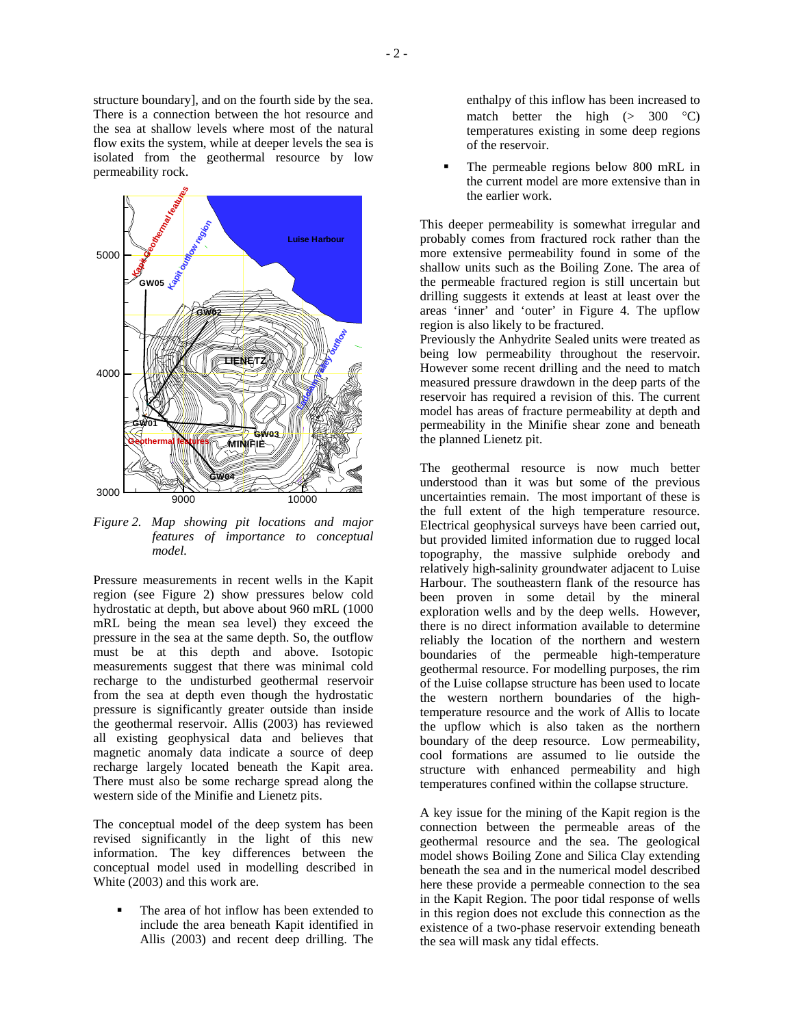

*Figure 2. Map showing pit locations and major features of importance to conceptual model.* 

Pressure measurements in recent wells in the Kapit region (see Figure 2) show pressures below cold hydrostatic at depth, but above about 960 mRL (1000 mRL being the mean sea level) they exceed the pressure in the sea at the same depth. So, the outflow must be at this depth and above. Isotopic measurements suggest that there was minimal cold recharge to the undisturbed geothermal reservoir from the sea at depth even though the hydrostatic pressure is significantly greater outside than inside the geothermal reservoir. Allis (2003) has reviewed all existing geophysical data and believes that magnetic anomaly data indicate a source of deep recharge largely located beneath the Kapit area. There must also be some recharge spread along the western side of the Minifie and Lienetz pits.

The conceptual model of the deep system has been revised significantly in the light of this new information. The key differences between the conceptual model used in modelling described in White (2003) and this work are.

 The area of hot inflow has been extended to include the area beneath Kapit identified in Allis (2003) and recent deep drilling. The enthalpy of this inflow has been increased to match better the high  $(> 300 \degree C)$ temperatures existing in some deep regions of the reservoir.

 The permeable regions below 800 mRL in the current model are more extensive than in the earlier work.

This deeper permeability is somewhat irregular and probably comes from fractured rock rather than the more extensive permeability found in some of the shallow units such as the Boiling Zone. The area of the permeable fractured region is still uncertain but drilling suggests it extends at least at least over the areas 'inner' and 'outer' in Figure 4. The upflow region is also likely to be fractured.

Previously the Anhydrite Sealed units were treated as being low permeability throughout the reservoir. However some recent drilling and the need to match measured pressure drawdown in the deep parts of the reservoir has required a revision of this. The current model has areas of fracture permeability at depth and permeability in the Minifie shear zone and beneath the planned Lienetz pit.

The geothermal resource is now much better understood than it was but some of the previous uncertainties remain. The most important of these is the full extent of the high temperature resource. Electrical geophysical surveys have been carried out, but provided limited information due to rugged local topography, the massive sulphide orebody and relatively high-salinity groundwater adjacent to Luise Harbour. The southeastern flank of the resource has been proven in some detail by the mineral exploration wells and by the deep wells. However, there is no direct information available to determine reliably the location of the northern and western boundaries of the permeable high-temperature geothermal resource. For modelling purposes, the rim of the Luise collapse structure has been used to locate the western northern boundaries of the hightemperature resource and the work of Allis to locate the upflow which is also taken as the northern boundary of the deep resource. Low permeability, cool formations are assumed to lie outside the structure with enhanced permeability and high temperatures confined within the collapse structure.

A key issue for the mining of the Kapit region is the connection between the permeable areas of the geothermal resource and the sea. The geological model shows Boiling Zone and Silica Clay extending beneath the sea and in the numerical model described here these provide a permeable connection to the sea in the Kapit Region. The poor tidal response of wells in this region does not exclude this connection as the existence of a two-phase reservoir extending beneath the sea will mask any tidal effects.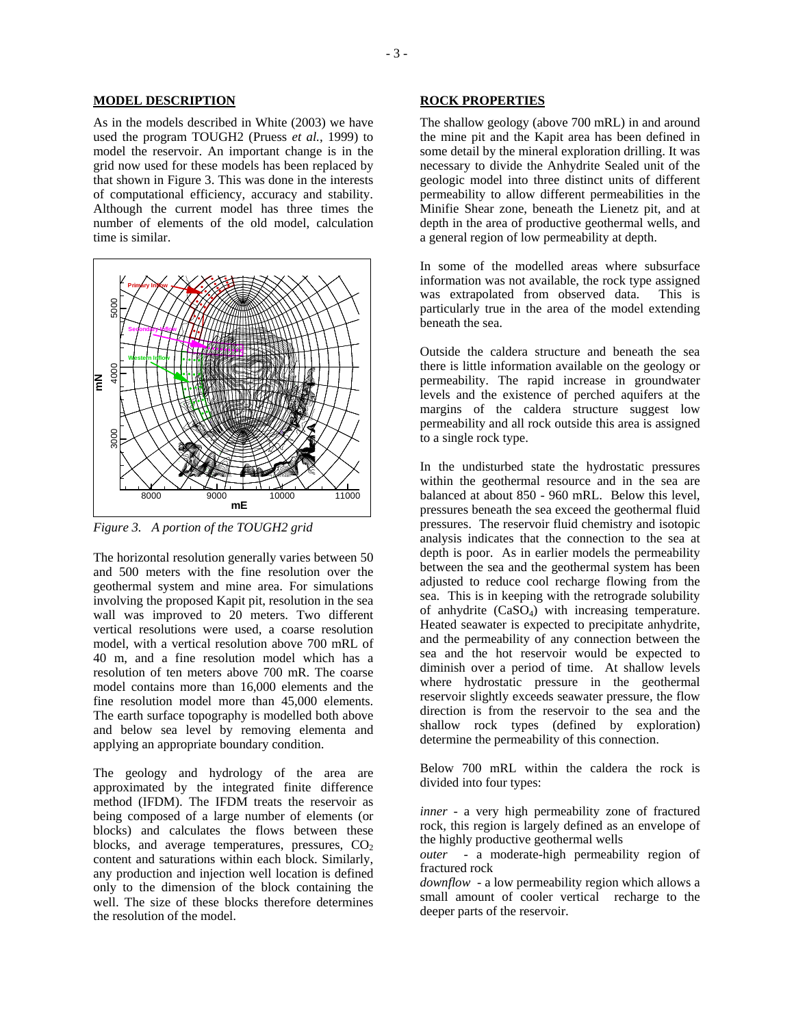#### **MODEL DESCRIPTION**

As in the models described in White (2003) we have used the program TOUGH2 (Pruess *et al.*, 1999) to model the reservoir. An important change is in the grid now used for these models has been replaced by that shown in Figure 3. This was done in the interests of computational efficiency, accuracy and stability. Although the current model has three times the number of elements of the old model, calculation time is similar.



*Figure 3. A portion of the TOUGH2 grid* 

The horizontal resolution generally varies between 50 and 500 meters with the fine resolution over the geothermal system and mine area. For simulations involving the proposed Kapit pit, resolution in the sea wall was improved to 20 meters. Two different vertical resolutions were used, a coarse resolution model, with a vertical resolution above 700 mRL of 40 m, and a fine resolution model which has a resolution of ten meters above 700 mR. The coarse model contains more than 16,000 elements and the fine resolution model more than 45,000 elements. The earth surface topography is modelled both above and below sea level by removing elementa and applying an appropriate boundary condition.

The geology and hydrology of the area are approximated by the integrated finite difference method (IFDM). The IFDM treats the reservoir as being composed of a large number of elements (or blocks) and calculates the flows between these blocks, and average temperatures, pressures,  $CO<sub>2</sub>$ content and saturations within each block. Similarly, any production and injection well location is defined only to the dimension of the block containing the well. The size of these blocks therefore determines the resolution of the model.

#### **ROCK PROPERTIES**

The shallow geology (above 700 mRL) in and around the mine pit and the Kapit area has been defined in some detail by the mineral exploration drilling. It was necessary to divide the Anhydrite Sealed unit of the geologic model into three distinct units of different permeability to allow different permeabilities in the Minifie Shear zone, beneath the Lienetz pit, and at depth in the area of productive geothermal wells, and a general region of low permeability at depth.

In some of the modelled areas where subsurface information was not available, the rock type assigned was extrapolated from observed data. This is particularly true in the area of the model extending beneath the sea.

Outside the caldera structure and beneath the sea there is little information available on the geology or permeability. The rapid increase in groundwater levels and the existence of perched aquifers at the margins of the caldera structure suggest low permeability and all rock outside this area is assigned to a single rock type.

In the undisturbed state the hydrostatic pressures within the geothermal resource and in the sea are balanced at about 850 - 960 mRL. Below this level, pressures beneath the sea exceed the geothermal fluid pressures. The reservoir fluid chemistry and isotopic analysis indicates that the connection to the sea at depth is poor. As in earlier models the permeability between the sea and the geothermal system has been adjusted to reduce cool recharge flowing from the sea. This is in keeping with the retrograde solubility of anhydrite  $(CaSO<sub>4</sub>)$  with increasing temperature. Heated seawater is expected to precipitate anhydrite, and the permeability of any connection between the sea and the hot reservoir would be expected to diminish over a period of time. At shallow levels where hydrostatic pressure in the geothermal reservoir slightly exceeds seawater pressure, the flow direction is from the reservoir to the sea and the shallow rock types (defined by exploration) determine the permeability of this connection.

Below 700 mRL within the caldera the rock is divided into four types:

*inner* - a very high permeability zone of fractured rock, this region is largely defined as an envelope of the highly productive geothermal wells

*outer* - a moderate-high permeability region of fractured rock

*downflow* - a low permeability region which allows a small amount of cooler vertical recharge to the deeper parts of the reservoir.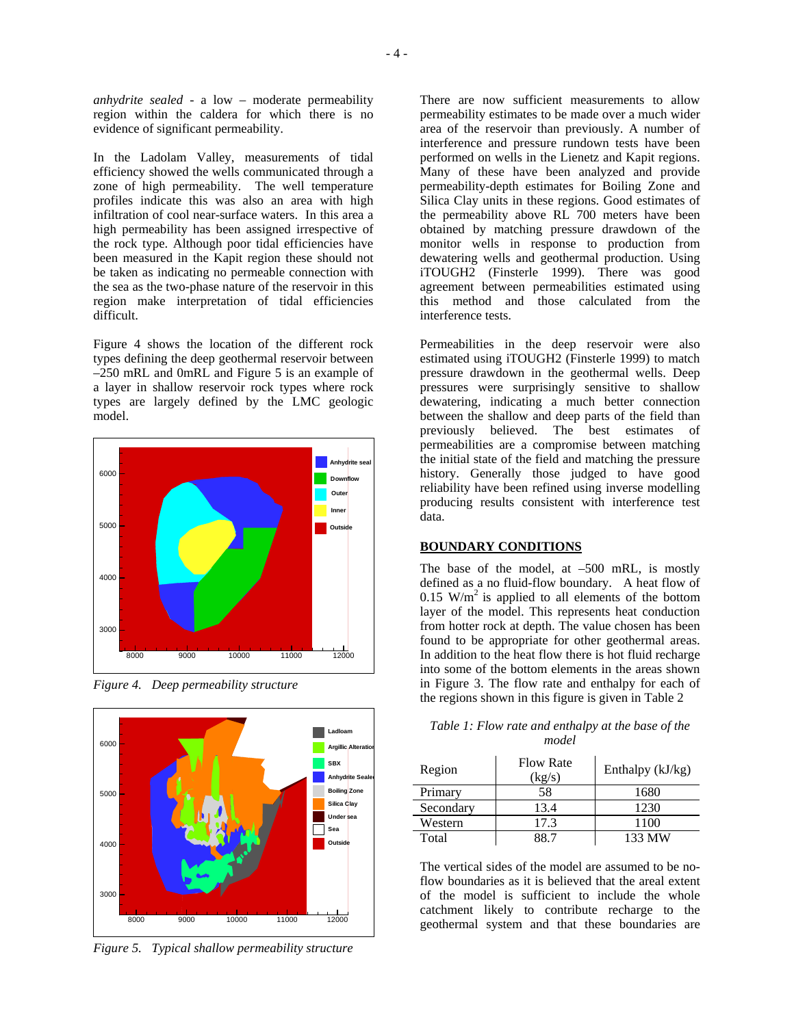*anhydrite sealed -* a low – moderate permeability region within the caldera for which there is no evidence of significant permeability.

In the Ladolam Valley, measurements of tidal efficiency showed the wells communicated through a zone of high permeability. The well temperature profiles indicate this was also an area with high infiltration of cool near-surface waters. In this area a high permeability has been assigned irrespective of the rock type. Although poor tidal efficiencies have been measured in the Kapit region these should not be taken as indicating no permeable connection with the sea as the two-phase nature of the reservoir in this region make interpretation of tidal efficiencies difficult.

Figure 4 shows the location of the different rock types defining the deep geothermal reservoir between –250 mRL and 0mRL and Figure 5 is an example of a layer in shallow reservoir rock types where rock types are largely defined by the LMC geologic model.



*Figure 4. Deep permeability structure* 



*Figure 5. Typical shallow permeability structure* 

There are now sufficient measurements to allow permeability estimates to be made over a much wider area of the reservoir than previously. A number of interference and pressure rundown tests have been performed on wells in the Lienetz and Kapit regions. Many of these have been analyzed and provide permeability-depth estimates for Boiling Zone and Silica Clay units in these regions. Good estimates of the permeability above RL 700 meters have been obtained by matching pressure drawdown of the monitor wells in response to production from dewatering wells and geothermal production. Using iTOUGH2 (Finsterle 1999). There was good agreement between permeabilities estimated using this method and those calculated from the interference tests.

Permeabilities in the deep reservoir were also estimated using iTOUGH2 (Finsterle 1999) to match pressure drawdown in the geothermal wells. Deep pressures were surprisingly sensitive to shallow dewatering, indicating a much better connection between the shallow and deep parts of the field than previously believed. The best estimates of permeabilities are a compromise between matching the initial state of the field and matching the pressure history. Generally those judged to have good reliability have been refined using inverse modelling producing results consistent with interference test data.

#### **BOUNDARY CONDITIONS**

The base of the model, at –500 mRL, is mostly defined as a no fluid-flow boundary. A heat flow of  $0.15$  W/m<sup>2</sup> is applied to all elements of the bottom layer of the model. This represents heat conduction from hotter rock at depth. The value chosen has been found to be appropriate for other geothermal areas. In addition to the heat flow there is hot fluid recharge into some of the bottom elements in the areas shown in Figure 3. The flow rate and enthalpy for each of the regions shown in this figure is given in Table 2

| Table 1: Flow rate and enthalpy at the base of the |
|----------------------------------------------------|
| model                                              |

| Region    | <b>Flow Rate</b><br>(kg/s) | Enthalpy (kJ/kg) |
|-----------|----------------------------|------------------|
| Primary   | 58                         | 1680             |
| Secondary | 13.4                       | 1230             |
| Western   | 17.3                       | 1100             |
| Total     | 88 7                       | 133 MW           |

The vertical sides of the model are assumed to be noflow boundaries as it is believed that the areal extent of the model is sufficient to include the whole catchment likely to contribute recharge to the geothermal system and that these boundaries are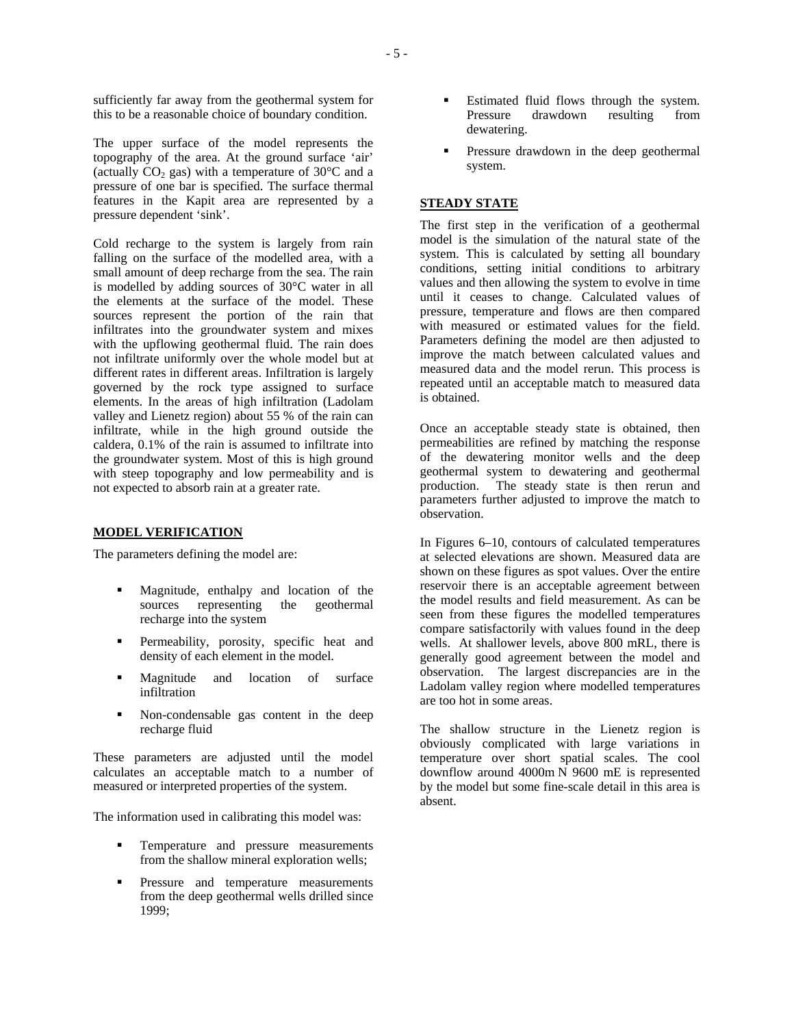sufficiently far away from the geothermal system for this to be a reasonable choice of boundary condition.

The upper surface of the model represents the topography of the area. At the ground surface 'air' (actually  $CO_2$  gas) with a temperature of 30 $\degree$ C and a pressure of one bar is specified. The surface thermal features in the Kapit area are represented by a pressure dependent 'sink'.

Cold recharge to the system is largely from rain falling on the surface of the modelled area, with a small amount of deep recharge from the sea. The rain is modelled by adding sources of 30°C water in all the elements at the surface of the model. These sources represent the portion of the rain that infiltrates into the groundwater system and mixes with the upflowing geothermal fluid. The rain does not infiltrate uniformly over the whole model but at different rates in different areas. Infiltration is largely governed by the rock type assigned to surface elements. In the areas of high infiltration (Ladolam valley and Lienetz region) about 55 % of the rain can infiltrate, while in the high ground outside the caldera, 0.1% of the rain is assumed to infiltrate into the groundwater system. Most of this is high ground with steep topography and low permeability and is not expected to absorb rain at a greater rate.

#### **MODEL VERIFICATION**

The parameters defining the model are:

- Magnitude, enthalpy and location of the sources representing the geothermal recharge into the system
- Permeability, porosity, specific heat and density of each element in the model.
- Magnitude and location of surface infiltration
- Non-condensable gas content in the deep recharge fluid

These parameters are adjusted until the model calculates an acceptable match to a number of measured or interpreted properties of the system.

The information used in calibrating this model was:

- Temperature and pressure measurements from the shallow mineral exploration wells;
- Pressure and temperature measurements from the deep geothermal wells drilled since 1999;
- Estimated fluid flows through the system. Pressure drawdown resulting from dewatering.
- Pressure drawdown in the deep geothermal system.

#### **STEADY STATE**

The first step in the verification of a geothermal model is the simulation of the natural state of the system. This is calculated by setting all boundary conditions, setting initial conditions to arbitrary values and then allowing the system to evolve in time until it ceases to change. Calculated values of pressure, temperature and flows are then compared with measured or estimated values for the field. Parameters defining the model are then adjusted to improve the match between calculated values and measured data and the model rerun. This process is repeated until an acceptable match to measured data is obtained.

Once an acceptable steady state is obtained, then permeabilities are refined by matching the response of the dewatering monitor wells and the deep geothermal system to dewatering and geothermal production. The steady state is then rerun and parameters further adjusted to improve the match to observation.

In Figures 6–10, contours of calculated temperatures at selected elevations are shown. Measured data are shown on these figures as spot values. Over the entire reservoir there is an acceptable agreement between the model results and field measurement. As can be seen from these figures the modelled temperatures compare satisfactorily with values found in the deep wells. At shallower levels, above 800 mRL, there is generally good agreement between the model and observation. The largest discrepancies are in the Ladolam valley region where modelled temperatures are too hot in some areas.

The shallow structure in the Lienetz region is obviously complicated with large variations in temperature over short spatial scales. The cool downflow around 4000m N 9600 mE is represented by the model but some fine-scale detail in this area is absent.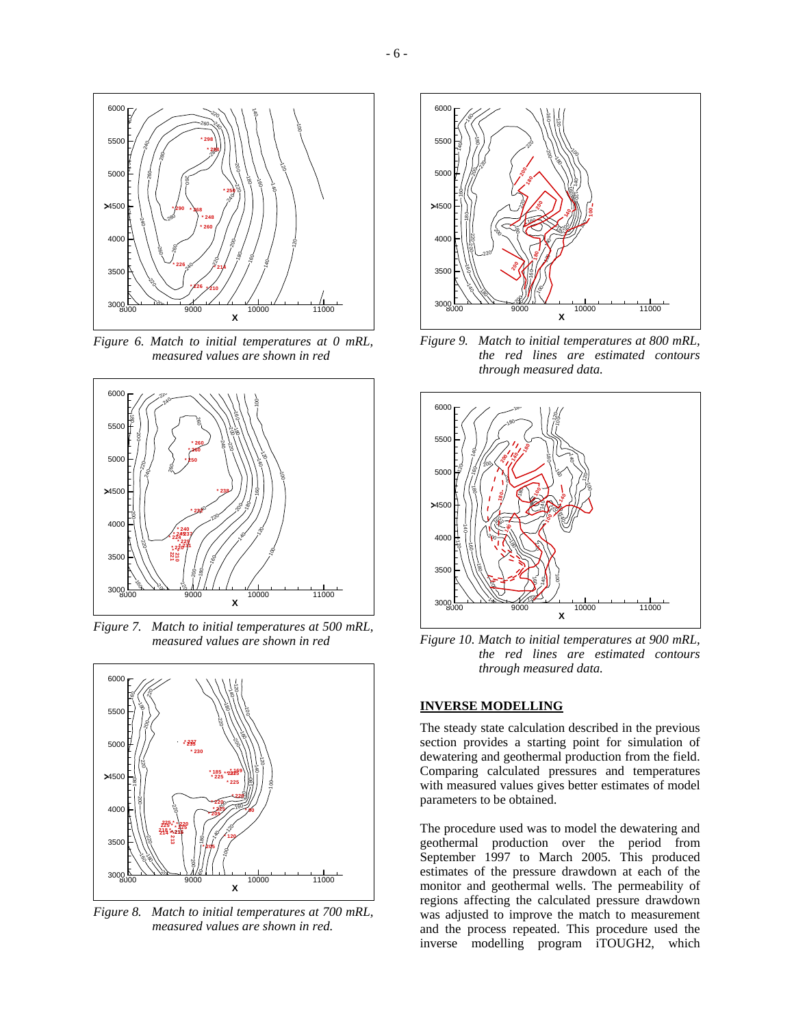

*Figure 6. Match to initial temperatures at 0 mRL, measured values are shown in red* 



*Figure 7. Match to initial temperatures at 500 mRL, measured values are shown in red* 



*Figure 8. Match to initial temperatures at 700 mRL, measured values are shown in red.* 



*Figure 9. Match to initial temperatures at 800 mRL, the red lines are estimated contours through measured data.* 



*Figure 10. Match to initial temperatures at 900 mRL, the red lines are estimated contours through measured data.* 

# **INVERSE MODELLING**

The steady state calculation described in the previous section provides a starting point for simulation of dewatering and geothermal production from the field. Comparing calculated pressures and temperatures with measured values gives better estimates of model parameters to be obtained.

The procedure used was to model the dewatering and geothermal production over the period from September 1997 to March 2005. This produced estimates of the pressure drawdown at each of the monitor and geothermal wells. The permeability of regions affecting the calculated pressure drawdown was adjusted to improve the match to measurement and the process repeated. This procedure used the inverse modelling program iTOUGH2, which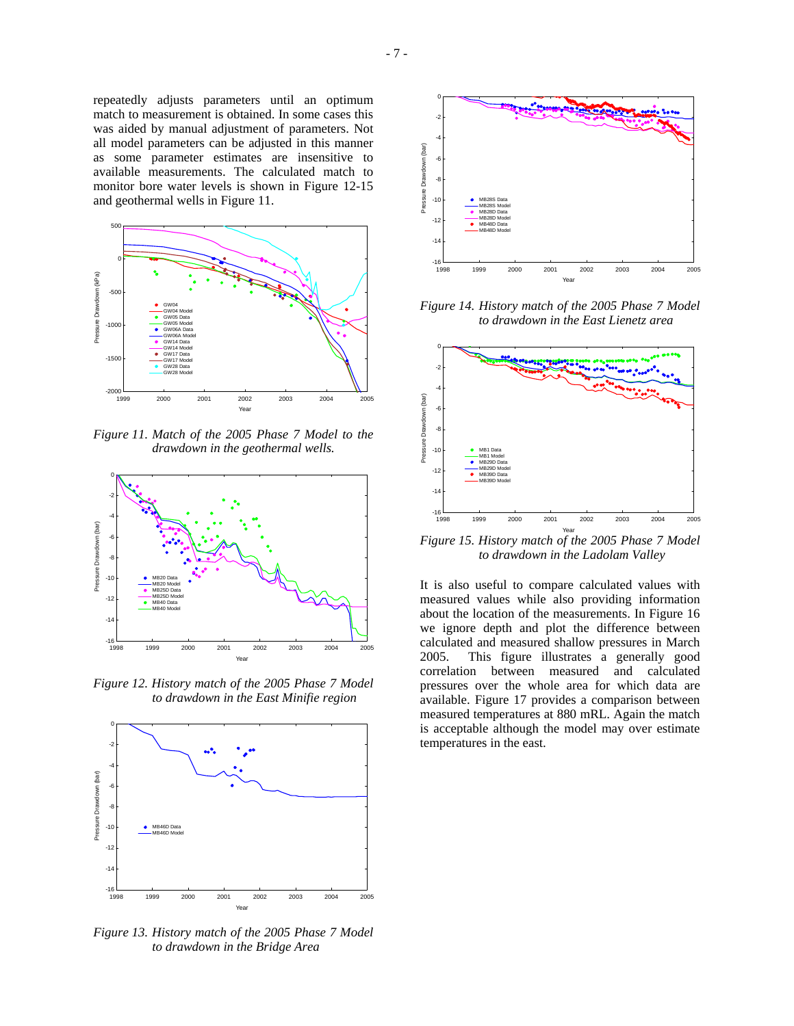repeatedly adjusts parameters until an optimum match to measurement is obtained. In some cases this was aided by manual adjustment of parameters. Not all model parameters can be adjusted in this manner as some parameter estimates are insensitive to available measurements. The calculated match to monitor bore water levels is shown in Figure 12-15 and geothermal wells in Figure 11.



*Figure 11. Match of the 2005 Phase 7 Model to the drawdown in the geothermal wells.* 



*Figure 12. History match of the 2005 Phase 7 Model to drawdown in the East Minifie region* 



*Figure 13. History match of the 2005 Phase 7 Model to drawdown in the Bridge Area* 



*Figure 14. History match of the 2005 Phase 7 Model to drawdown in the East Lienetz area* 



*Figure 15. History match of the 2005 Phase 7 Model to drawdown in the Ladolam Valley* 

It is also useful to compare calculated values with measured values while also providing information about the location of the measurements. In Figure 16 we ignore depth and plot the difference between calculated and measured shallow pressures in March 2005. This figure illustrates a generally good correlation between measured and calculated pressures over the whole area for which data are available. Figure 17 provides a comparison between measured temperatures at 880 mRL. Again the match is acceptable although the model may over estimate temperatures in the east.